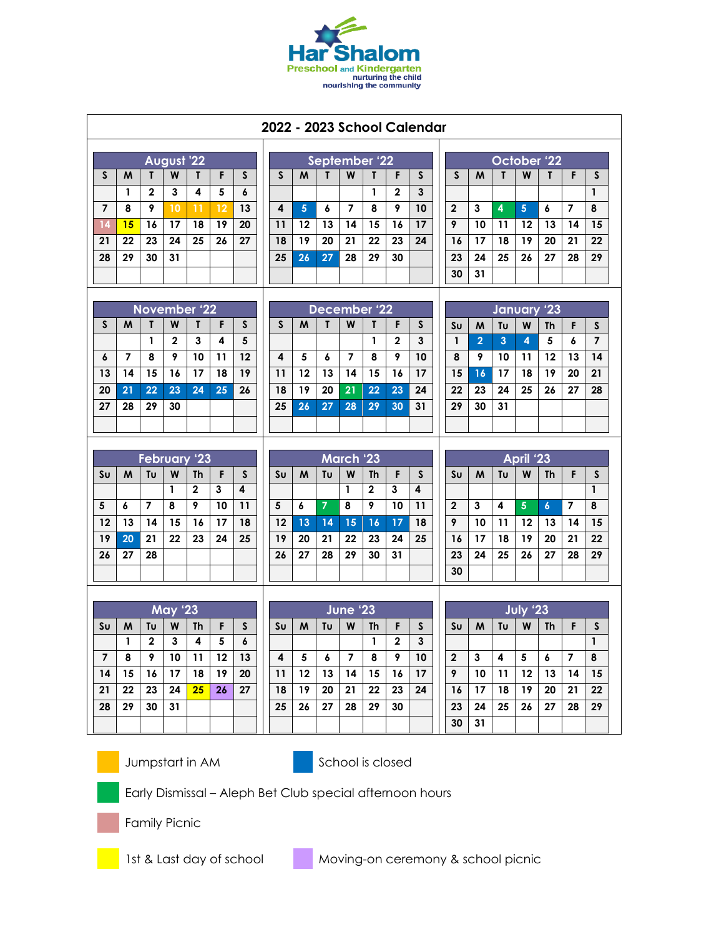

| 2022 - 2023 School Calendar |                                                                     |              |                     |                |           |                 |  |              |                 |                 |                         |                |              |              |  |                    |                     |                      |                 |                  |                       |                                |  |  |
|-----------------------------|---------------------------------------------------------------------|--------------|---------------------|----------------|-----------|-----------------|--|--------------|-----------------|-----------------|-------------------------|----------------|--------------|--------------|--|--------------------|---------------------|----------------------|-----------------|------------------|-----------------------|--------------------------------|--|--|
| August '22                  |                                                                     |              |                     |                |           |                 |  |              | September 22    |                 |                         |                |              |              |  |                    | October 22          |                      |                 |                  |                       |                                |  |  |
| S                           | M                                                                   | T            | W                   | T              | F         | $\mathsf{S}$    |  | S            | M               | T               | W                       | $\mathbf{I}$   | F            | $\mathsf{S}$ |  | S                  | M                   | T                    | W               | T.               | F                     | S                              |  |  |
|                             | $\mathbf{1}$                                                        | $\mathbf{2}$ | 3                   | 4              | 5         | 6               |  |              |                 |                 |                         | $\mathbf{1}$   | $\mathbf{2}$ | $\mathbf{3}$ |  |                    |                     |                      |                 |                  |                       | $\mathbf{1}$                   |  |  |
| $\overline{ }$              | 8                                                                   | 9            | 10                  | 11             | 12        | 13              |  | 4            | $5\phantom{.0}$ | 6               | 7                       | 8              | 9            | 10           |  | $\mathbf{2}$       | 3                   | 4                    | 5               | 6                | 7                     | 8                              |  |  |
| 14                          | 15                                                                  | 16           | 17                  | 18             | 19        | 20              |  | 11           | 12              | 13              | 14                      | 15             | 16           | 17           |  | 9                  | 10                  | 11                   | 12              | 13               | 14                    | 15                             |  |  |
| 21                          | 22                                                                  | 23           | 24                  | 25             | 26        | 27              |  | 18           | 19              | 20              | 21                      | 22             | 23           | 24           |  | 16                 | 17                  | 18                   | 19              | 20               | 21                    | 22                             |  |  |
| 28                          | 29                                                                  | 30           | 31                  |                |           |                 |  | 25           | 26              | 27              | 28                      | 29             | 30           |              |  | 23                 | 24                  | 25                   | 26              | 27               | 28                    | 29                             |  |  |
|                             |                                                                     |              |                     |                |           |                 |  |              |                 |                 |                         |                |              |              |  | 30                 | 31                  |                      |                 |                  |                       |                                |  |  |
|                             |                                                                     |              |                     |                |           |                 |  | December '22 |                 |                 |                         |                |              |              |  | <b>January '23</b> |                     |                      |                 |                  |                       |                                |  |  |
| $\mathsf{S}$                | November '22<br>$\boldsymbol{\mathsf{S}}$<br>M<br>W<br>T.<br>F<br>Т |              |                     |                |           |                 |  | S            | M               | Т               | W                       | T              | F            | S            |  |                    |                     |                      |                 |                  |                       |                                |  |  |
|                             |                                                                     | $\mathbf{1}$ | $\overline{2}$      | 3              | 4         | $5\phantom{.0}$ |  |              |                 |                 |                         | $\mathbf{1}$   | $\mathbf{2}$ | 3            |  | Su<br>$\mathbf{1}$ | M<br>$\overline{2}$ | Τυ<br>$\overline{3}$ | W<br>4          | Th<br>5          | F<br>$\boldsymbol{6}$ | $\mathsf{s}$<br>$\overline{7}$ |  |  |
| 6                           | 7                                                                   | 8            | 9                   | 10             | 11        | 12              |  | 4            | 5               | 6               | 7                       | 8              | 9            | 10           |  | 8                  | 9                   | 10                   | 11              | 12               | 13                    | 14                             |  |  |
| 13                          | 14                                                                  | 15           | 16                  | 17             | 18        | 19              |  | 11           | 12              | 13              | 14                      | 15             | 16           | 17           |  | 15                 | <b>16</b>           | 17                   | 18              | 19               | 20                    | 21                             |  |  |
| 20                          | 21                                                                  | 22           | 23                  | 24             | 25        | 26              |  | 18           | 19              | 20              | 21                      | 22             | 23           | 24           |  | 22                 | 23                  | 24                   | 25              | 26               | 27                    | 28                             |  |  |
| 27                          | 28                                                                  | 29           | 30                  |                |           |                 |  | 25           | 26              | 27              | 28                      | 29             | 30           | 31           |  | 29                 | 30                  | 31                   |                 |                  |                       |                                |  |  |
|                             |                                                                     |              |                     |                |           |                 |  |              |                 |                 |                         |                |              |              |  |                    |                     |                      |                 |                  |                       |                                |  |  |
|                             |                                                                     |              |                     |                |           |                 |  |              |                 |                 |                         |                |              |              |  |                    |                     |                      |                 |                  |                       |                                |  |  |
|                             | <b>February '23</b>                                                 |              |                     |                |           |                 |  | March '23    |                 |                 |                         |                |              |              |  | April '23          |                     |                      |                 |                  |                       |                                |  |  |
| Sυ                          | M                                                                   | Τυ           | W                   | <b>Th</b>      | F         | S               |  | Sυ           | M               | Τυ              | W                       | Th             | F            | $\mathsf{s}$ |  | Sυ                 | M                   | Τυ                   | W               | <b>Th</b>        | F                     | $\mathsf{s}$                   |  |  |
|                             |                                                                     |              | $\mathbf{1}$        | $\overline{2}$ | 3         | 4               |  |              |                 |                 | 1                       | $\overline{2}$ | 3            | 4            |  |                    |                     |                      |                 |                  |                       | $\mathbf{1}$                   |  |  |
| 5                           | 6                                                                   | 7            | 8                   | 9              | 10        | 11              |  | 5            | 6               | $\overline{7}$  | 8                       | 9              | 10           | 11           |  | $\mathbf{2}$       | 3                   | 4                    | $5\phantom{.0}$ | $\boldsymbol{6}$ | 7                     | 8                              |  |  |
| 12<br>19                    | 13<br>20                                                            | 14<br>21     | 15<br>22            | 16<br>23       | 17<br>24  | 18<br>25        |  | 12<br>19     | 13<br>20        | 14<br>21        | 15<br>22                | 16<br>23       | 17<br>24     | 18<br>25     |  | 9<br>16            | 10<br>17            | 11<br>18             | 12<br>19        | 13<br>20         | 14<br>21              | 15<br>22                       |  |  |
| 26                          | 27                                                                  | 28           |                     |                |           |                 |  | 26           | 27              | 28              | 29                      | 30             | 31           |              |  | 23                 | 24                  | 25                   | 26              | 27               | 28                    | 29                             |  |  |
|                             |                                                                     |              |                     |                |           |                 |  |              |                 |                 |                         |                |              |              |  | 30                 |                     |                      |                 |                  |                       |                                |  |  |
|                             |                                                                     |              |                     |                |           |                 |  |              |                 |                 |                         |                |              |              |  |                    |                     |                      |                 |                  |                       |                                |  |  |
|                             |                                                                     | June '23     |                     |                |           |                 |  |              |                 | <b>July '23</b> |                         |                |              |              |  |                    |                     |                      |                 |                  |                       |                                |  |  |
| Sυ                          | м                                                                   | Tu           | <b>May '23</b><br>W | <b>Th</b>      | F         | S               |  | Sυ           | M               | Τυ              | W                       | Th             | F            | S            |  | Sυ                 | M                   | Τυ                   | W               | Th               | F                     | S                              |  |  |
|                             | $\mathbf{I}$                                                        | 2            | 3                   | 4              | ${\bf 5}$ | 6               |  |              |                 |                 |                         | 1              | $\mathbf 2$  | $\mathbf 3$  |  |                    |                     |                      |                 |                  |                       | $\mathbf{1}$                   |  |  |
| $\overline{7}$              | 8                                                                   | 9            | 10                  | 11             | $12 \,$   | 13              |  | 4            | 5               | 6               | $\overline{\mathbf{z}}$ | 8              | 9            | 10           |  | $\mathbf{2}$       | 3                   | 4                    | 5               | 6                | 7                     | 8                              |  |  |
| 14                          | 15                                                                  | 16           | 17                  | 18             | 19        | 20              |  | 11           | 12              | 13              | 14                      | 15             | 16           | 17           |  | 9                  | 10                  | 11                   | 12              | 13               | 14                    | 15                             |  |  |
| 21                          | 22                                                                  | 23           | 24                  | 25             | 26        | 27              |  | 18           | 19              | 20              | 21                      | 22             | 23           | 24           |  | 16                 | 17                  | 18                   | 19              | 20               | 21                    | 22                             |  |  |
| 28                          | 29                                                                  | 30           | 31                  |                |           |                 |  | 25           | 26              | 27              | 28                      | 29             | 30           |              |  | 23                 | 24                  | 25                   | 26              | 27               | 28                    | 29                             |  |  |
|                             |                                                                     |              |                     |                |           |                 |  |              |                 |                 |                         |                |              |              |  | 30                 | 31                  |                      |                 |                  |                       |                                |  |  |





Jumpstart in AM School is closed



Early Dismissal – Aleph Bet Club special afternoon hours

Family Picnic



1st & Last day of school Moving-on ceremony & school picnic